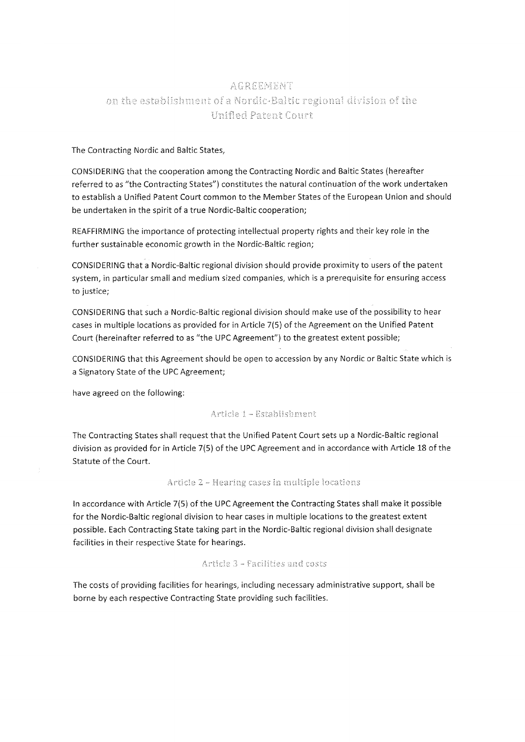# AGREEMENT on the establishment of a Nordic-Baltic regional division of the Unified Patent Court

## The Contracting Nordic and Baltic States,

CONSIDERING that the cooperation among the Contracting Nordic and Baltic States (hereafter referred to as "the Contracting States") constitutes the natural continuation of the work undertaken to establish a Unified Patent Court common to the Member States of the European Union and should be undertaken in the spirit of a true Nordic-Baltic cooperation;

REAFFIRMING the importance of protecting intellectual property rights and their key role in the further sustainable economic growth in the Nordic-Baltic region;

CONSfDERiNG that a Nordio-Baltic regional division should provide proximity to users of the patent system, in particular small and medium sized companies, which is a prerequisite for ensuring access to justice;

CONSIDERING that such a Nordic-Baltic regional division should make use of the possibility to hear cases in multiple locations as provided for in Article 7{5) of the Agreement an the Unified Patent Court (hereinafter referred to as "the UPC Agreement") to the greatest extent possible;

CONSIDERING that this Agreement should be open to accession by any Nordic or Baltic State which is a Signatory State of the UPC Agreement;

have agreed on the following:

## Article 1 - Establishment

The Contracting States shall request that the Unified Patent Court sets up a Nordic-Baltic regional division as provided for in Article 7(S) of the UPC Agreement and in accordance with Article 18 of the Statute of the Court.

## Article 2 - Hearing cases in multiple locations

In accordance with Article 7(S} of the UPC Agreement the Contracting States shall make it possible for the Nordic-Baltic regional division to hear cases in multiple locations to the greatest extent possible. Each Contracting State taking part in the Nordic-Baltic regional division shall designate facilities in their respective State for hearings.

## Article 3 - Facilities and costs

The costs of providing facilities for hearings, including necessary administrative support, shall be borne by each respective Contracting State providing such facilities.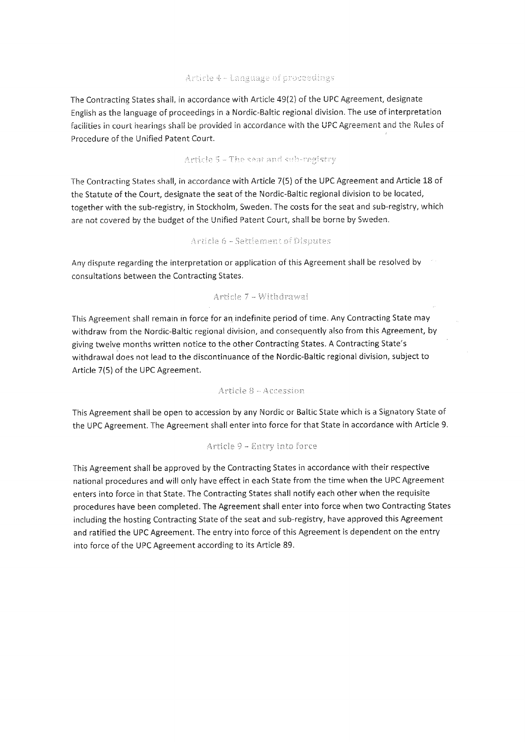## Article 4 - Language of proceedings

The Contracting States shall, in accordance with Article 49(2) of the UPC Agreement, designate English as the language of proceedings in a Nordic-Baltic regional division. The use of interpretation facilities in court hearings shall be provided in accordance with the UPC Agreement and the Rules of Procedure of the Unified Patent Court.

## Article 5 - The seat and sub-registry

The Contracting States shall, in accordance with Article 7(5) of the UPC Agreement and Article 18 of the Statute of the Court, designate the seat of the Nordic-Baltic regional division to be located, together with the sub-registry, in Stockholm, Sweden. The costs for the seat and sub-registry, which are not covered by the budget of the Unified Patent Court, shall be borne by Sweden.

## Article 6 - Settlement of Disputes

Any dispute regarding the interpretation or application of this Agreement shall be resolved by consultations between the Contracting States.

## Article 7 - Withdrawal

This Agreement shall remain in force for an indefinite period of time. Any Contracting State may withdraw from the Nordic-Baltic regional division, and consequently also from this Agreement, by giving twelve months written notice to the other Contracting States. A Contracting State's withdrawal does not lead to the discontinuance of the Nordic-Baltic regional division, subject to Article 7(5) of the UPC Agreement.

## Article 8 - Accession

This Agreement shall be open to accession by any Nordic or Baltic State which is a Signatory State of the UPC Agreement. The Agreement shall enter into force for that State in accordance with Article 9.

## Article 9 - Entry into force

This Agreement shall be approved by the Contracting States in accordance with their respective national procedures and will only have effect in each State from the time when the UPC Agreement enters into force in that State. The Contracting States shall notify each other when the requisite procedures have been completed. The Agreement shall enter into force when two Contracting States including the hosting Contracting State of the seat and sub-registry, have approved this Agreement and ratified the UPC Agreement. The entry into force of this Agreement is dependent on the entry into force of the UPC Agreement according to its Article 89.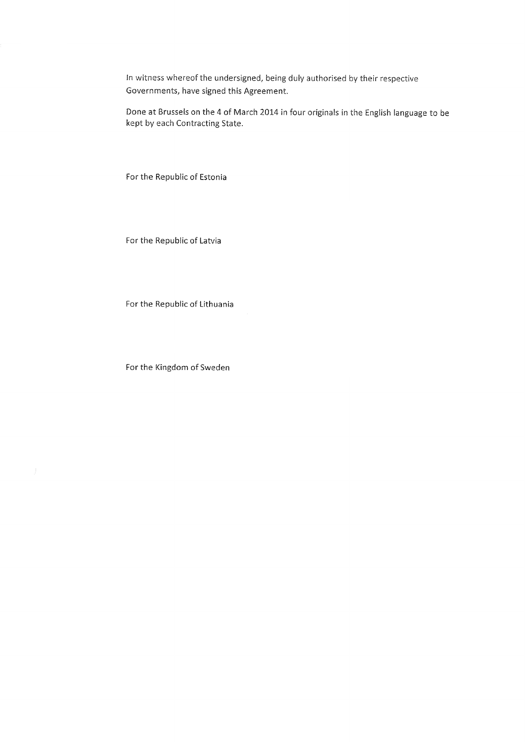In witness whereof the undersigned, being duly authorised by their respective Governments, have signed this Agreement.

Dane at Brussels on the 4 of March 2014 in four originals in the English language to be kept by each Contracting State.

For the Repubiic of Estonia

For the Republic of Latvia

For the Republic of Lithuania

For the Kingdom of Sweden